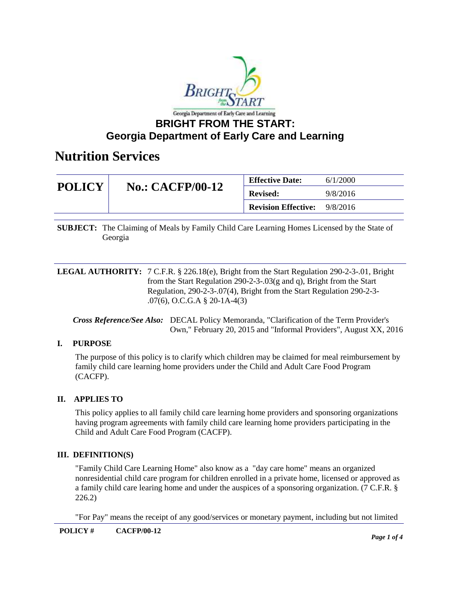

## **BRIGHT FROM THE START: Georgia Department of Early Care and Learning**

## **Nutrition Services**

| <b>POLICY</b> | <b>No.: CACFP/00-12</b> | <b>Effective Date:</b>              | 6/1/2000 |
|---------------|-------------------------|-------------------------------------|----------|
|               |                         | <b>Revised:</b>                     | 9/8/2016 |
|               |                         | <b>Revision Effective:</b> 9/8/2016 |          |

**SUBJECT:** The Claiming of Meals by Family Child Care Learning Homes Licensed by the State of Georgia

**LEGAL AUTHORITY:** 7 C.F.R. § 226.18(e), Bright from the Start Regulation 290-2-3-.01, Bright from the Start Regulation 290-2-3-.03(g and q), Bright from the Start Regulation, 290-2-3-.07(4), Bright from the Start Regulation 290-2-3- .07(6), O.C.G.A § 20-1A-4(3)

*Cross Reference/See Also:* DECAL Policy Memoranda, "Clarification of the Term Provider's Own," February 20, 2015 and "Informal Providers", August XX, 2016

### **I. PURPOSE**

The purpose of this policy is to clarify which children may be claimed for meal reimbursement by family child care learning home providers under the Child and Adult Care Food Program (CACFP).

### **II. APPLIES TO**

This policy applies to all family child care learning home providers and sponsoring organizations having program agreements with family child care learning home providers participating in the Child and Adult Care Food Program (CACFP).

### **III. DEFINITION(S)**

"Family Child Care Learning Home" also know as a "day care home" means an organized nonresidential child care program for children enrolled in a private home, licensed or approved as a family child care learing home and under the auspices of a sponsoring organization. (7 C.F.R. § 226.2)

"For Pay" means the receipt of any good/services or monetary payment, including but not limited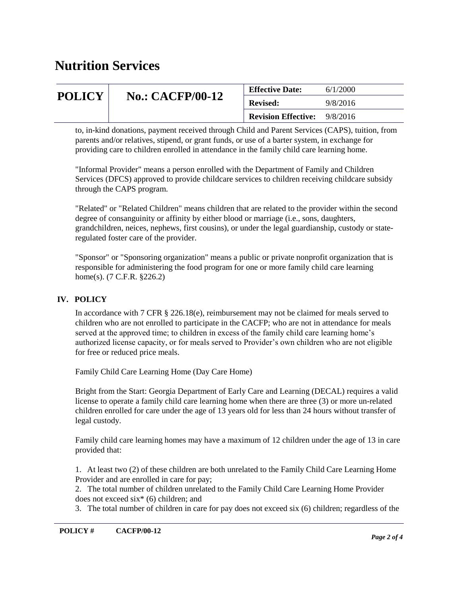# **Nutrition Services**

| <b>POLICY</b> | <b>No.: CACFP/00-12</b> | <b>Effective Date:</b>     | 6/1/2000 |
|---------------|-------------------------|----------------------------|----------|
|               |                         | <b>Revised:</b>            | 9/8/2016 |
|               |                         | <b>Revision Effective:</b> | 9/8/2016 |

to, in-kind donations, payment received through Child and Parent Services (CAPS), tuition, from parents and/or relatives, stipend, or grant funds, or use of a barter system, in exchange for providing care to children enrolled in attendance in the family child care learning home.

"Informal Provider" means a person enrolled with the Department of Family and Children Services (DFCS) approved to provide childcare services to children receiving childcare subsidy through the CAPS program.

"Related" or "Related Children" means children that are related to the provider within the second degree of consanguinity or affinity by either blood or marriage (i.e., sons, daughters, grandchildren, neices, nephews, first cousins), or under the legal guardianship, custody or stateregulated foster care of the provider.

"Sponsor" or "Sponsoring organization" means a public or private nonprofit organization that is responsible for administering the food program for one or more family child care learning home(s). (7 C.F.R. §226.2)

## **IV. POLICY**

In accordance with 7 CFR § 226.18(e), reimbursement may not be claimed for meals served to children who are not enrolled to participate in the CACFP; who are not in attendance for meals served at the approved time; to children in excess of the family child care learning home's authorized license capacity, or for meals served to Provider's own children who are not eligible for free or reduced price meals.

Family Child Care Learning Home (Day Care Home)

Bright from the Start: Georgia Department of Early Care and Learning (DECAL) requires a valid license to operate a family child care learning home when there are three (3) or more un-related children enrolled for care under the age of 13 years old for less than 24 hours without transfer of legal custody.

Family child care learning homes may have a maximum of 12 children under the age of 13 in care provided that:

1. At least two (2) of these children are both unrelated to the Family Child Care Learning Home Provider and are enrolled in care for pay;

2. The total number of children unrelated to the Family Child Care Learning Home Provider does not exceed six\* (6) children; and

3. The total number of children in care for pay does not exceed six (6) children; regardless of the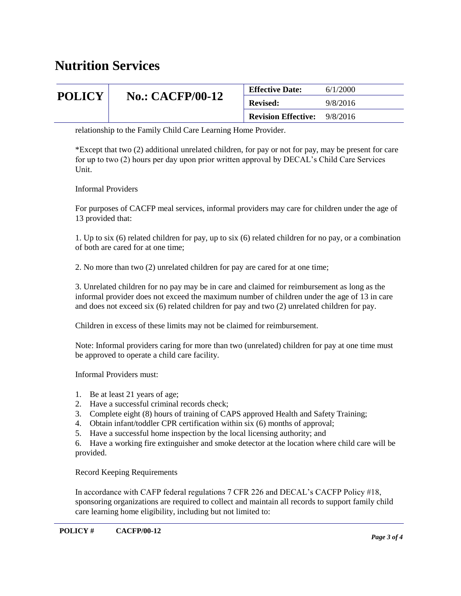## **Nutrition Services**

| <b>POLICY</b> | <b>No.: CACFP/00-12</b> | <b>Effective Date:</b>              | 6/1/2000 |
|---------------|-------------------------|-------------------------------------|----------|
|               |                         | <b>Revised:</b>                     | 9/8/2016 |
|               |                         | <b>Revision Effective:</b> 9/8/2016 |          |

relationship to the Family Child Care Learning Home Provider.

\*Except that two (2) additional unrelated children, for pay or not for pay, may be present for care for up to two (2) hours per day upon prior written approval by DECAL's Child Care Services Unit.

Informal Providers

For purposes of CACFP meal services, informal providers may care for children under the age of 13 provided that:

1. Up to six (6) related children for pay, up to six (6) related children for no pay, or a combination of both are cared for at one time;

2. No more than two (2) unrelated children for pay are cared for at one time;

3. Unrelated children for no pay may be in care and claimed for reimbursement as long as the informal provider does not exceed the maximum number of children under the age of 13 in care and does not exceed six (6) related children for pay and two (2) unrelated children for pay.

Children in excess of these limits may not be claimed for reimbursement.

Note: Informal providers caring for more than two (unrelated) children for pay at one time must be approved to operate a child care facility.

Informal Providers must:

- 1. Be at least 21 years of age;
- 2. Have a successful criminal records check;
- 3. Complete eight (8) hours of training of CAPS approved Health and Safety Training;
- 4. Obtain infant/toddler CPR certification within six (6) months of approval;
- 5. Have a successful home inspection by the local licensing authority; and

6. Have a working fire extinguisher and smoke detector at the location where child care will be provided.

Record Keeping Requirements

In accordance with CAFP federal regulations 7 CFR 226 and DECAL's CACFP Policy #18, sponsoring organizations are required to collect and maintain all records to support family child care learning home eligibility, including but not limited to: